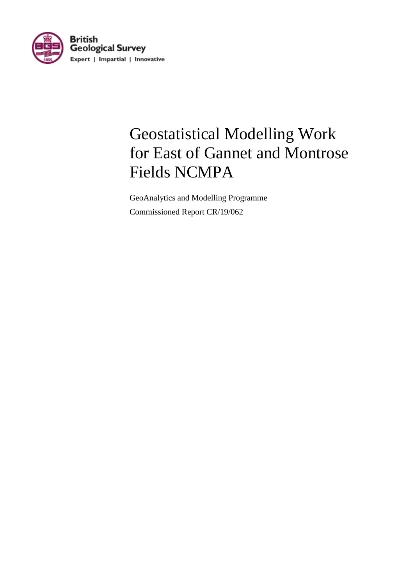

# Geostatistical Modelling Work for East of Gannet and Montrose Fields NCMPA

GeoAnalytics and Modelling Programme Commissioned Report CR/19/062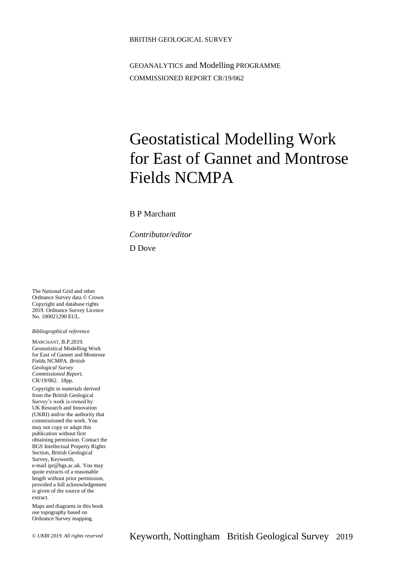### BRITISH GEOLOGICAL SURVEY

GEOANALYTICS and Modelling PROGRAMME COMMISSIONED REPORT CR/19/062

# Geostatistical Modelling Work for East of Gannet and Montrose Fields NCMPA

### B P Marchant

*Contributor/editor*

D Dove

The National Grid and other Ordnance Survey data © Crown Copyright and database rights 2019. Ordnance Survey Licence No. 100021290 EUL.

### *Bibliographical reference*

MARCHANT, B.P.2019. Geostatistical Modelling Work for East of Gannet and Montrose Fields NCMPA. *British Geological Survey Commissioned Report*, CR/19/062. 18pp.

Copyright in materials derived from the British Geological Survey's work is owned by UK Research and Innovation (UKRI) and/or the authority that commissioned the work. You may not copy or adapt this publication without first obtaining permission. Contact the BGS Intellectual Property Rights Section, British Geological Survey, Keyworth, e-mail ipr@bgs.ac.uk. You may quote extracts of a reasonable length without prior permission, provided a full acknowledgement is given of the source of the extract.

Maps and diagrams in this book use topography based on Ordnance Survey mapping.

© *UKRI 2019. All rights reserved* Keyworth, Nottingham British Geological Survey 2019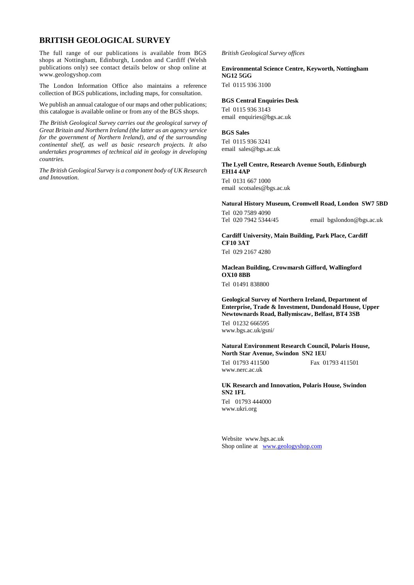## **BRITISH GEOLOGICAL SURVEY**

The full range of our publications is available from BGS shops at Nottingham, Edinburgh, London and Cardiff (Welsh publications only) see contact details below or shop online at www.geologyshop.com

The London Information Office also maintains a reference collection of BGS publications, including maps, for consultation.

We publish an annual catalogue of our maps and other publications; this catalogue is available online or from any of the BGS shops.

*The British Geological Survey carries out the geological survey of Great Britain and Northern Ireland (the latter as an agency service for the government of Northern Ireland), and of the surrounding continental shelf, as well as basic research projects. It also undertakes programmes of technical aid in geology in developing countries.*

*The British Geological Survey is a component body of UK Research and Innovation.*

#### *British Geological Survey offices*

### **Environmental Science Centre, Keyworth, Nottingham NG12 5GG**

Tel 0115 936 3100

#### **BGS Central Enquiries Desk**

Tel 0115 936 3143 email enquiries@bgs.ac.uk

### **BGS Sales**

Tel 0115 936 3241 email sales@bgs.ac.uk

### **The Lyell Centre, Research Avenue South, Edinburgh EH14 4AP**

Tel 0131 667 1000 email scotsales@bgs.ac.uk

#### **Natural History Museum, Cromwell Road, London SW7 5BD**

Tel 020 7589 4090 Tel 020 7942 5344/45 email bgslondon@bgs.ac.uk

## **Cardiff University, Main Building, Park Place, Cardiff CF10 3AT**

Tel 029 2167 4280

### **Maclean Building, Crowmarsh Gifford, Wallingford OX10 8BB**

Tel 01491 838800

### **Geological Survey of Northern Ireland, Department of Enterprise, Trade & Investment, Dundonald House, Upper Newtownards Road, Ballymiscaw, Belfast, BT4 3SB**

Tel 01232 666595 www.bgs.ac.uk/gsni/

### **Natural Environment Research Council, Polaris House, North Star Avenue, Swindon SN2 1EU**

Tel 01793 411500 Fax 01793 411501 www.nerc.ac.uk

### **UK Research and Innovation, Polaris House, Swindon SN2 1FL**

Tel 01793 444000 www.ukri.org

Website www.bgs.ac.uk Shop online at [www.geologyshop.com](http://www.geologyshop.com/)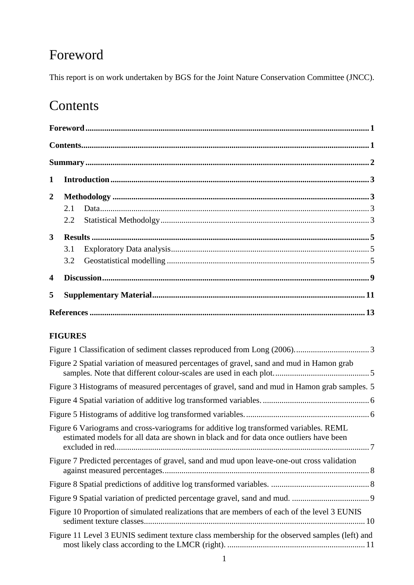# Foreword

This report is on work undertaken by BGS for the Joint Nature Conservation Committee (JNCC).

# Contents

| $\mathbf{1}$            |     |  |  |  |
|-------------------------|-----|--|--|--|
| $\mathbf{2}$            |     |  |  |  |
|                         |     |  |  |  |
|                         |     |  |  |  |
| 3 <sup>1</sup>          |     |  |  |  |
|                         | 3.1 |  |  |  |
|                         |     |  |  |  |
| $\overline{\mathbf{4}}$ |     |  |  |  |
| 5                       |     |  |  |  |
|                         |     |  |  |  |

## **FIGURES**

| Figure 2 Spatial variation of measured percentages of gravel, sand and mud in Hamon grab                                                                                       |
|--------------------------------------------------------------------------------------------------------------------------------------------------------------------------------|
| Figure 3 Histograms of measured percentages of gravel, sand and mud in Hamon grab samples. 5                                                                                   |
|                                                                                                                                                                                |
|                                                                                                                                                                                |
| Figure 6 Variograms and cross-variograms for additive log transformed variables. REML<br>estimated models for all data are shown in black and for data once outliers have been |
| Figure 7 Predicted percentages of gravel, sand and mud upon leave-one-out cross validation                                                                                     |
|                                                                                                                                                                                |
|                                                                                                                                                                                |
| Figure 10 Proportion of simulated realizations that are members of each of the level 3 EUNIS                                                                                   |
| Figure 11 Level 3 EUNIS sediment texture class membership for the observed samples (left) and                                                                                  |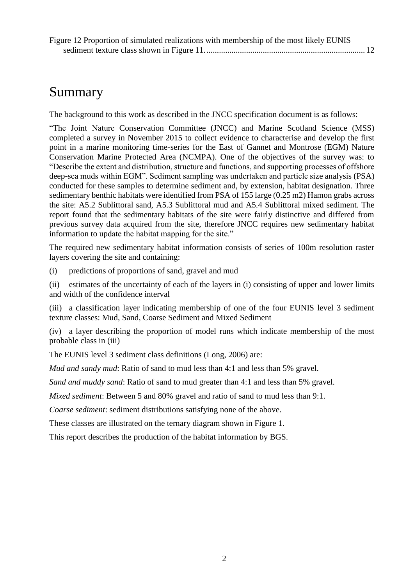# Summary

The background to this work as described in the JNCC specification document is as follows:

"The Joint Nature Conservation Committee (JNCC) and Marine Scotland Science (MSS) completed a survey in November 2015 to collect evidence to characterise and develop the first point in a marine monitoring time-series for the East of Gannet and Montrose (EGM) Nature Conservation Marine Protected Area (NCMPA). One of the objectives of the survey was: to "Describe the extent and distribution, structure and functions, and supporting processes of offshore deep-sea muds within EGM". Sediment sampling was undertaken and particle size analysis (PSA) conducted for these samples to determine sediment and, by extension, habitat designation. Three sedimentary benthic habitats were identified from PSA of 155 large (0.25 m2) Hamon grabs across the site: A5.2 Sublittoral sand, A5.3 Sublittoral mud and A5.4 Sublittoral mixed sediment. The report found that the sedimentary habitats of the site were fairly distinctive and differed from previous survey data acquired from the site, therefore JNCC requires new sedimentary habitat information to update the habitat mapping for the site."

The required new sedimentary habitat information consists of series of 100m resolution raster layers covering the site and containing:

(i) predictions of proportions of sand, gravel and mud

(ii) estimates of the uncertainty of each of the layers in (i) consisting of upper and lower limits and width of the confidence interval

(iii) a classification layer indicating membership of one of the four EUNIS level 3 sediment texture classes: Mud, Sand, Coarse Sediment and Mixed Sediment

(iv) a layer describing the proportion of model runs which indicate membership of the most probable class in (iii)

The EUNIS level 3 sediment class definitions (Long, 2006) are:

*Mud and sandy mud*: Ratio of sand to mud less than 4:1 and less than 5% gravel.

*Sand and muddy sand*: Ratio of sand to mud greater than 4:1 and less than 5% gravel.

*Mixed sediment*: Between 5 and 80% gravel and ratio of sand to mud less than 9:1.

*Coarse sediment*: sediment distributions satisfying none of the above.

These classes are illustrated on the ternary diagram shown in Figure 1.

This report describes the production of the habitat information by BGS.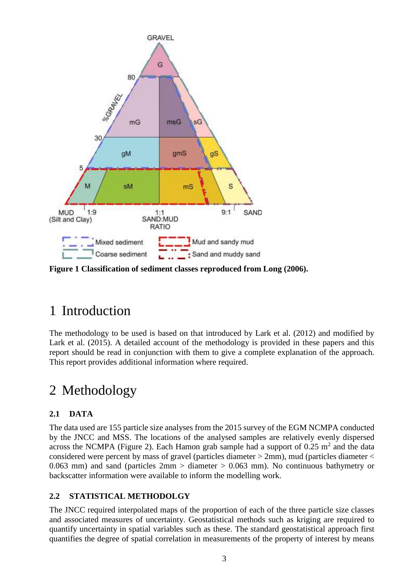

<span id="page-6-0"></span>**Figure 1 Classification of sediment classes reproduced from Long (2006).**

# 1 Introduction

The methodology to be used is based on that introduced by Lark et al. (2012) and modified by Lark et al. (2015). A detailed account of the methodology is provided in these papers and this report should be read in conjunction with them to give a complete explanation of the approach. This report provides additional information where required.

# 2 Methodology

## **2.1 DATA**

The data used are 155 particle size analyses from the 2015 survey of the EGM NCMPA conducted by the JNCC and MSS. The locations of the analysed samples are relatively evenly dispersed across the NCMPA (Figure 2). Each Hamon grab sample had a support of  $0.25 \text{ m}^2$  and the data considered were percent by mass of gravel (particles diameter > 2mm), mud (particles diameter < 0.063 mm) and sand (particles  $2 \text{mm} >$  diameter  $> 0.063$  mm). No continuous bathymetry or backscatter information were available to inform the modelling work.

## **2.2 STATISTICAL METHODOLGY**

The JNCC required interpolated maps of the proportion of each of the three particle size classes and associated measures of uncertainty. Geostatistical methods such as kriging are required to quantify uncertainty in spatial variables such as these. The standard geostatistical approach first quantifies the degree of spatial correlation in measurements of the property of interest by means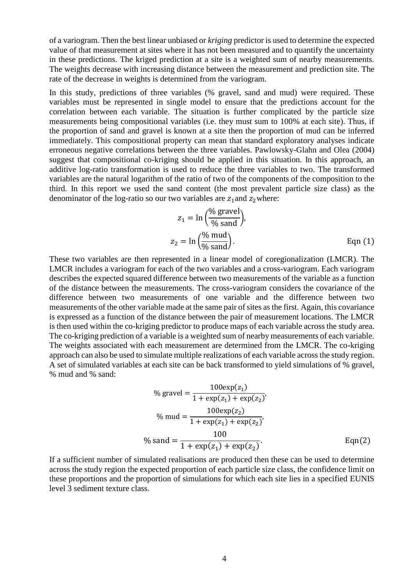of a variogram. Then the best linear unbiased or *kriging* predictor is used to determine the expected value of that measurement at sites where it has not been measured and to quantify the uncertainty in these predictions. The kriged prediction at a site is a weighted sum of nearby measurements. The weights decrease with increasing distance between the measurement and prediction site. The rate of the decrease in weights is determined from the variogram.

In this study, predictions of three variables (% gravel, sand and mud) were required. These variables must be represented in single model to ensure that the predictions account for the correlation between each variable. The situation is further complicated by the particle size measurements being compositional variables (i.e. they must sum to 100% at each site). Thus, if the proportion of sand and gravel is known at a site then the proportion of mud can be inferred immediately. This compositional property can mean that standard exploratory analyses indicate erroneous negative correlations between the three variables. Pawlowsky-Glahn and Olea (2004) suggest that compositional co-kriging should be applied in this situation. In this approach, an additive log-ratio transformation is used to reduce the three variables to two. The transformed variables are the natural logarithm of the ratio of two of the components of the composition to the third. In this report we used the sand content (the most prevalent particle size class) as the denominator of the log-ratio so our two variables are  $z_1$  and  $z_2$  where:

$$
z_1 = \ln\left(\frac{\% \text{ grad}}{\% \text{ sand}}\right),
$$
  

$$
z_2 = \ln\left(\frac{\% \text{ mud}}{\% \text{ sand}}\right).
$$
 Eqn (1)

These two variables are then represented in a linear model of coregionalization (LMCR). The LMCR includes a variogram for each of the two variables and a cross-variogram. Each variogram describes the expected squared difference between two measurements of the variable as a function of the distance between the measurements. The cross-variogram considers the covariance of the difference between two measurements of one variable and the difference between two measurements of the other variable made at the same pair of sites as the first. Again, this covariance is expressed as a function of the distance between the pair of measurement locations. The LMCR is then used within the co-kriging predictor to produce maps of each variable across the study area. The co-kriging prediction of a variable is a weighted sum of nearby measurements of each variable. The weights associated with each measurement are determined from the LMCR. The co-kriging approach can also be used to simulate multiple realizations of each variable across the study region. A set of simulated variables at each site can be back transformed to yield simulations of % gravel, % mud and % sand:

% 
$$
\% \text{grave} = \frac{100 \exp(z_1)}{1 + \exp(z_1) + \exp(z_2)},
$$
  
\n
$$
\% \text{ mud} = \frac{100 \exp(z_2)}{1 + \exp(z_1) + \exp(z_2)},
$$
  
\n
$$
\% \text{ sand} = \frac{100}{1 + \exp(z_1) + \exp(z_2)}.
$$
  
\nEqn(2)

If a sufficient number of simulated realisations are produced then these can be used to determine across the study region the expected proportion of each particle size class, the confidence limit on these proportions and the proportion of simulations for which each site lies in a specified EUNIS level 3 sediment texture class.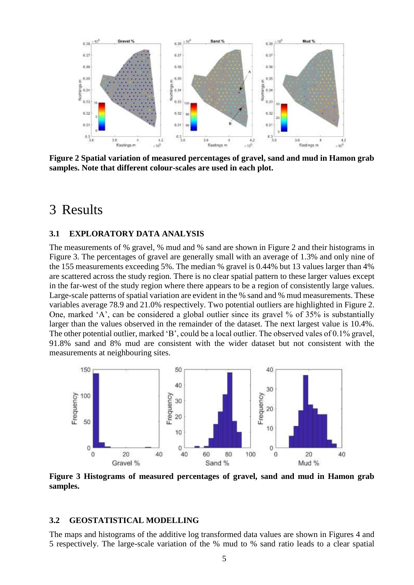

<span id="page-8-0"></span>**Figure 2 Spatial variation of measured percentages of gravel, sand and mud in Hamon grab samples. Note that different colour-scales are used in each plot.**

## 3 Results

## **3.1 EXPLORATORY DATA ANALYSIS**

The measurements of % gravel, % mud and % sand are shown in Figure 2 and their histograms in Figure 3. The percentages of gravel are generally small with an average of 1.3% and only nine of the 155 measurements exceeding 5%. The median % gravel is 0.44% but 13 values larger than 4% are scattered across the study region. There is no clear spatial pattern to these larger values except in the far-west of the study region where there appears to be a region of consistently large values. Large-scale patterns of spatial variation are evident in the % sand and % mud measurements. These variables average 78.9 and 21.0% respectively. Two potential outliers are highlighted in Figure 2. One, marked 'A', can be considered a global outlier since its gravel % of 35% is substantially larger than the values observed in the remainder of the dataset. The next largest value is 10.4%. The other potential outlier, marked 'B', could be a local outlier. The observed vales of 0.1% gravel, 91.8% sand and 8% mud are consistent with the wider dataset but not consistent with the measurements at neighbouring sites.



<span id="page-8-1"></span>**Figure 3 Histograms of measured percentages of gravel, sand and mud in Hamon grab samples.**

## **3.2 GEOSTATISTICAL MODELLING**

The maps and histograms of the additive log transformed data values are shown in Figures 4 and 5 respectively. The large-scale variation of the % mud to % sand ratio leads to a clear spatial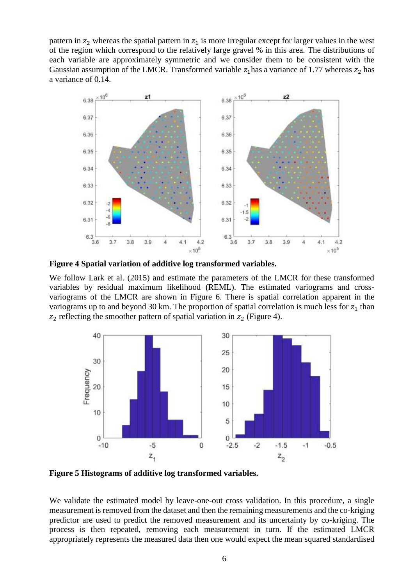pattern in  $z_2$  whereas the spatial pattern in  $z_1$  is more irregular except for larger values in the west of the region which correspond to the relatively large gravel % in this area. The distributions of each variable are approximately symmetric and we consider them to be consistent with the Gaussian assumption of the LMCR. Transformed variable  $z_1$  has a variance of 1.77 whereas  $z_2$  has a variance of 0.14.



<span id="page-9-0"></span>**Figure 4 Spatial variation of additive log transformed variables.**

We follow Lark et al. (2015) and estimate the parameters of the LMCR for these transformed variables by residual maximum likelihood (REML). The estimated variograms and crossvariograms of the LMCR are shown in Figure 6. There is spatial correlation apparent in the variograms up to and beyond 30 km. The proportion of spatial correlation is much less for  $z_1$  than  $z_2$  reflecting the smoother pattern of spatial variation in  $z_2$  (Figure 4).



<span id="page-9-1"></span>**Figure 5 Histograms of additive log transformed variables.**

We validate the estimated model by leave-one-out cross validation. In this procedure, a single measurement is removed from the dataset and then the remaining measurements and the co-kriging predictor are used to predict the removed measurement and its uncertainty by co-kriging. The process is then repeated, removing each measurement in turn. If the estimated LMCR appropriately represents the measured data then one would expect the mean squared standardised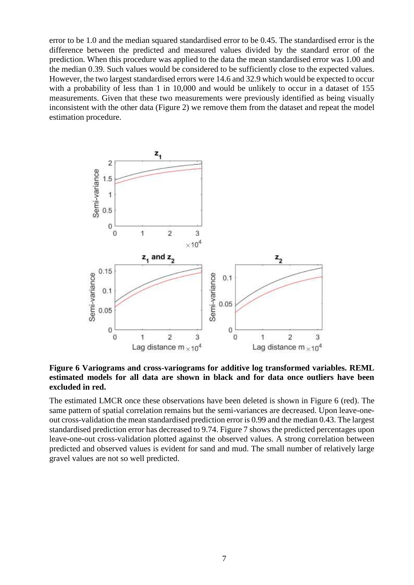error to be 1.0 and the median squared standardised error to be 0.45. The standardised error is the difference between the predicted and measured values divided by the standard error of the prediction. When this procedure was applied to the data the mean standardised error was 1.00 and the median 0.39. Such values would be considered to be sufficiently close to the expected values. However, the two largest standardised errors were 14.6 and 32.9 which would be expected to occur with a probability of less than 1 in 10,000 and would be unlikely to occur in a dataset of 155 measurements. Given that these two measurements were previously identified as being visually inconsistent with the other data (Figure 2) we remove them from the dataset and repeat the model estimation procedure.



<span id="page-10-0"></span>**Figure 6 Variograms and cross-variograms for additive log transformed variables. REML estimated models for all data are shown in black and for data once outliers have been excluded in red.**

The estimated LMCR once these observations have been deleted is shown in Figure 6 (red). The same pattern of spatial correlation remains but the semi-variances are decreased. Upon leave-oneout cross-validation the mean standardised prediction error is 0.99 and the median 0.43. The largest standardised prediction error has decreased to 9.74. Figure 7 shows the predicted percentages upon leave-one-out cross-validation plotted against the observed values. A strong correlation between predicted and observed values is evident for sand and mud. The small number of relatively large gravel values are not so well predicted.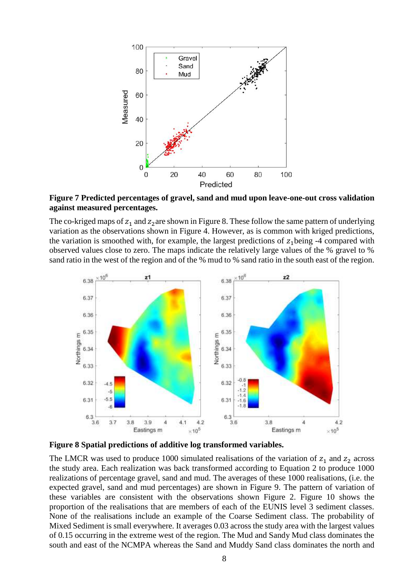

<span id="page-11-0"></span>**Figure 7 Predicted percentages of gravel, sand and mud upon leave-one-out cross validation against measured percentages.**

The co-kriged maps of  $z_1$  and  $z_2$  are shown in Figure 8. These follow the same pattern of underlying variation as the observations shown in Figure 4. However, as is common with kriged predictions, the variation is smoothed with, for example, the largest predictions of  $z_1$  being -4 compared with observed values close to zero. The maps indicate the relatively large values of the % gravel to % sand ratio in the west of the region and of the % mud to % sand ratio in the south east of the region.



<span id="page-11-1"></span>**Figure 8 Spatial predictions of additive log transformed variables.**

The LMCR was used to produce 1000 simulated realisations of the variation of  $z_1$  and  $z_2$  across the study area. Each realization was back transformed according to Equation 2 to produce 1000 realizations of percentage gravel, sand and mud. The averages of these 1000 realisations, (i.e. the expected gravel, sand and mud percentages) are shown in Figure 9. The pattern of variation of these variables are consistent with the observations shown Figure 2. Figure 10 shows the proportion of the realisations that are members of each of the EUNIS level 3 sediment classes. None of the realisations include an example of the Coarse Sediment class. The probability of Mixed Sediment is small everywhere. It averages 0.03 across the study area with the largest values of 0.15 occurring in the extreme west of the region. The Mud and Sandy Mud class dominates the south and east of the NCMPA whereas the Sand and Muddy Sand class dominates the north and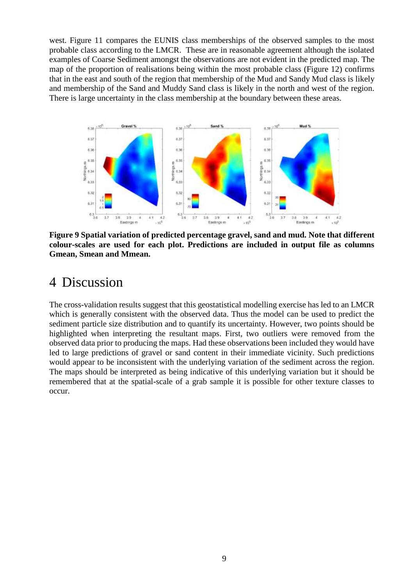west. Figure 11 compares the EUNIS class memberships of the observed samples to the most probable class according to the LMCR. These are in reasonable agreement although the isolated examples of Coarse Sediment amongst the observations are not evident in the predicted map. The map of the proportion of realisations being within the most probable class (Figure 12) confirms that in the east and south of the region that membership of the Mud and Sandy Mud class is likely and membership of the Sand and Muddy Sand class is likely in the north and west of the region. There is large uncertainty in the class membership at the boundary between these areas.



<span id="page-12-0"></span>**Figure 9 Spatial variation of predicted percentage gravel, sand and mud. Note that different colour-scales are used for each plot. Predictions are included in output file as columns Gmean, Smean and Mmean.**

## 4 Discussion

The cross-validation results suggest that this geostatistical modelling exercise has led to an LMCR which is generally consistent with the observed data. Thus the model can be used to predict the sediment particle size distribution and to quantify its uncertainty. However, two points should be highlighted when interpreting the resultant maps. First, two outliers were removed from the observed data prior to producing the maps. Had these observations been included they would have led to large predictions of gravel or sand content in their immediate vicinity. Such predictions would appear to be inconsistent with the underlying variation of the sediment across the region. The maps should be interpreted as being indicative of this underlying variation but it should be remembered that at the spatial-scale of a grab sample it is possible for other texture classes to occur.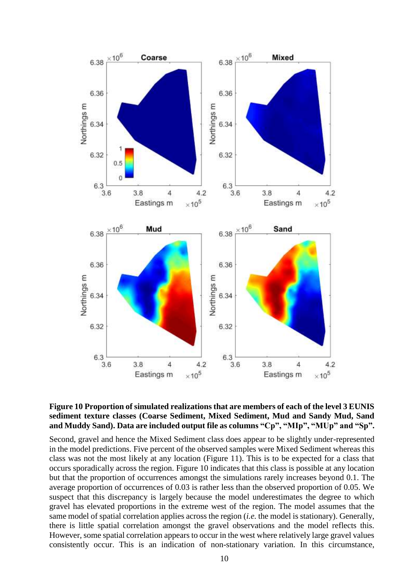

## <span id="page-13-0"></span>**Figure 10 Proportion of simulated realizations that are members of each of the level 3 EUNIS sediment texture classes (Coarse Sediment, Mixed Sediment, Mud and Sandy Mud, Sand and Muddy Sand). Data are included output file as columns "Cp", "MIp", "MUp" and "Sp".**

Second, gravel and hence the Mixed Sediment class does appear to be slightly under-represented in the model predictions. Five percent of the observed samples were Mixed Sediment whereas this class was not the most likely at any location (Figure 11). This is to be expected for a class that occurs sporadically across the region. Figure 10 indicates that this class is possible at any location but that the proportion of occurrences amongst the simulations rarely increases beyond 0.1. The average proportion of occurrences of 0.03 is rather less than the observed proportion of 0.05. We suspect that this discrepancy is largely because the model underestimates the degree to which gravel has elevated proportions in the extreme west of the region. The model assumes that the same model of spatial correlation applies across the region (*i.e.* the model is stationary). Generally, there is little spatial correlation amongst the gravel observations and the model reflects this. However, some spatial correlation appears to occur in the west where relatively large gravel values consistently occur. This is an indication of non-stationary variation. In this circumstance,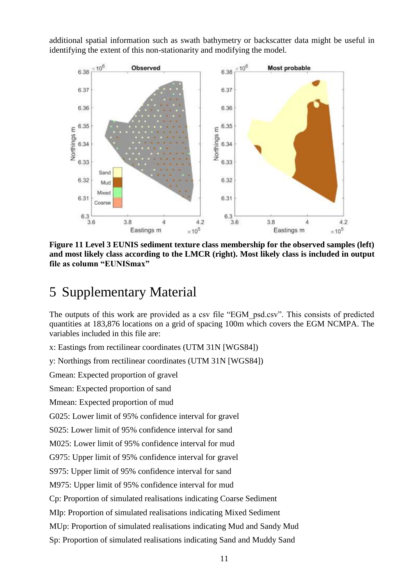additional spatial information such as swath bathymetry or backscatter data might be useful in identifying the extent of this non-stationarity and modifying the model.



<span id="page-14-0"></span>**Figure 11 Level 3 EUNIS sediment texture class membership for the observed samples (left) and most likely class according to the LMCR (right). Most likely class is included in output file as column "EUNISmax"**

# 5 Supplementary Material

The outputs of this work are provided as a csv file "EGM\_psd.csv". This consists of predicted quantities at 183,876 locations on a grid of spacing 100m which covers the EGM NCMPA. The variables included in this file are:

x: Eastings from rectilinear coordinates (UTM 31N [WGS84])

y: Northings from rectilinear coordinates (UTM 31N [WGS84])

Gmean: Expected proportion of gravel

Smean: Expected proportion of sand

Mmean: Expected proportion of mud

G025: Lower limit of 95% confidence interval for gravel

S025: Lower limit of 95% confidence interval for sand

M025: Lower limit of 95% confidence interval for mud

G975: Upper limit of 95% confidence interval for gravel

S975: Upper limit of 95% confidence interval for sand

M975: Upper limit of 95% confidence interval for mud

Cp: Proportion of simulated realisations indicating Coarse Sediment

MIp: Proportion of simulated realisations indicating Mixed Sediment

MUp: Proportion of simulated realisations indicating Mud and Sandy Mud

Sp: Proportion of simulated realisations indicating Sand and Muddy Sand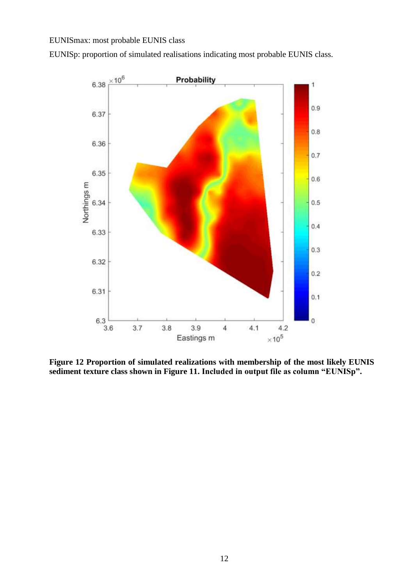## EUNISmax: most probable EUNIS class

EUNISp: proportion of simulated realisations indicating most probable EUNIS class.



<span id="page-15-0"></span>**Figure 12 Proportion of simulated realizations with membership of the most likely EUNIS sediment texture class shown in Figure 11. Included in output file as column "EUNISp".**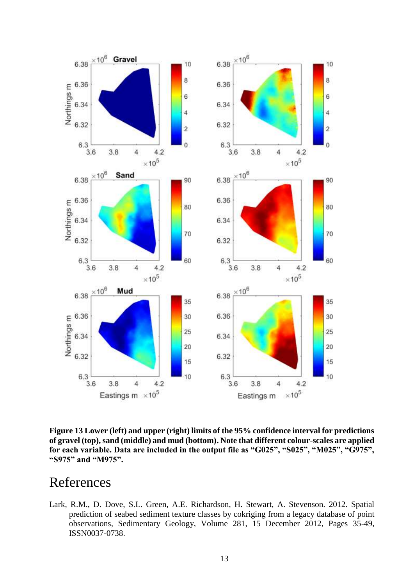

**Figure 13 Lower (left) and upper (right) limits of the 95% confidence interval for predictions of gravel (top), sand (middle) and mud (bottom). Note that different colour-scales are applied for each variable. Data are included in the output file as "G025", "S025", "M025", "G975", "S975" and "M975".**

## References

Lark, R.M., D. Dove, S.L. Green, A.E. Richardson, H. Stewart, A. Stevenson. 2012. Spatial prediction of seabed sediment texture classes by cokriging from a legacy database of point observations, Sedimentary Geology, Volume 281, 15 December 2012, Pages 35-49, ISSN0037-0738.